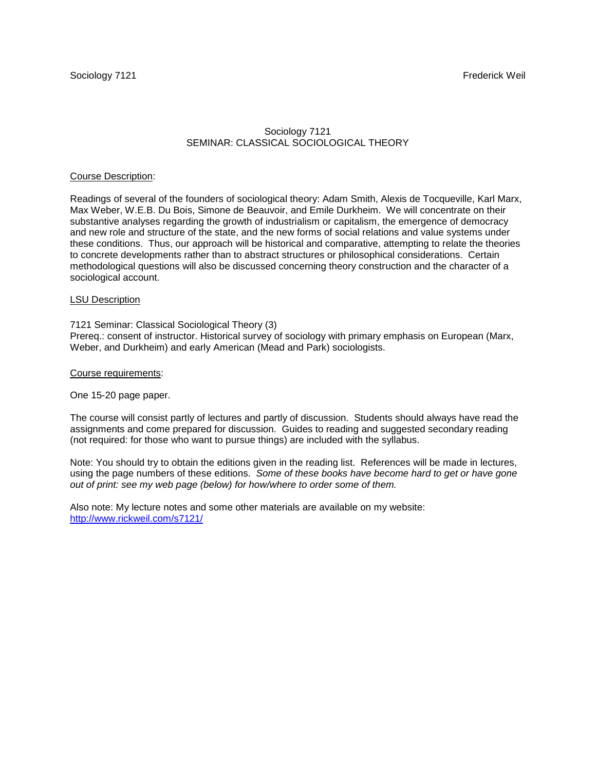# Sociology 7121 SEMINAR: CLASSICAL SOCIOLOGICAL THEORY

# Course Description:

Readings of several of the founders of sociological theory: Adam Smith, Alexis de Tocqueville, Karl Marx, Max Weber, W.E.B. Du Bois, Simone de Beauvoir, and Emile Durkheim. We will concentrate on their substantive analyses regarding the growth of industrialism or capitalism, the emergence of democracy and new role and structure of the state, and the new forms of social relations and value systems under these conditions. Thus, our approach will be historical and comparative, attempting to relate the theories to concrete developments rather than to abstract structures or philosophical considerations. Certain methodological questions will also be discussed concerning theory construction and the character of a sociological account.

## LSU Description

7121 Seminar: Classical Sociological Theory (3) Prereq.: consent of instructor. Historical survey of sociology with primary emphasis on European (Marx, Weber, and Durkheim) and early American (Mead and Park) sociologists.

## Course requirements:

One 15-20 page paper.

The course will consist partly of lectures and partly of discussion. Students should always have read the assignments and come prepared for discussion. Guides to reading and suggested secondary reading (not required: for those who want to pursue things) are included with the syllabus.

Note: You should try to obtain the editions given in the reading list. References will be made in lectures, using the page numbers of these editions. *Some of these books have become hard to get or have gone out of print: see my web page (below) for how/where to order some of them.*

Also note: My lecture notes and some other materials are available on my website: <http://www.rickweil.com/s7121/>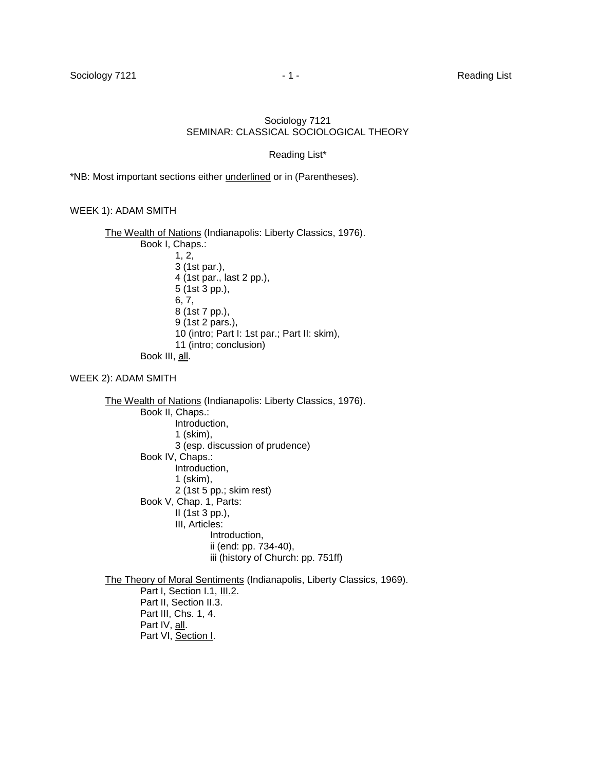## Sociology 7121 SEMINAR: CLASSICAL SOCIOLOGICAL THEORY

#### Reading List\*

\*NB: Most important sections either underlined or in (Parentheses).

#### WEEK 1): ADAM SMITH

The Wealth of Nations (Indianapolis: Liberty Classics, 1976). Book I, Chaps.: 1, 2, 3 (1st par.), 4 (1st par., last 2 pp.), 5 (1st 3 pp.), 6, 7, 8 (1st 7 pp.), 9 (1st 2 pars.), 10 (intro; Part I: 1st par.; Part II: skim), 11 (intro; conclusion) Book III, all.

## WEEK 2): ADAM SMITH

The Wealth of Nations (Indianapolis: Liberty Classics, 1976). Book II, Chaps.: Introduction, 1 (skim), 3 (esp. discussion of prudence) Book IV, Chaps.: Introduction, 1 (skim), 2 (1st 5 pp.; skim rest) Book V, Chap. 1, Parts: II (1st 3 pp.), III, Articles: Introduction, ii (end: pp. 734-40), iii (history of Church: pp. 751ff) The Theory of Moral Sentiments (Indianapolis, Liberty Classics, 1969). Part I, Section I.1, III.2. Part II, Section II.3. Part III, Chs. 1, 4. Part IV, all.

Part VI, Section I.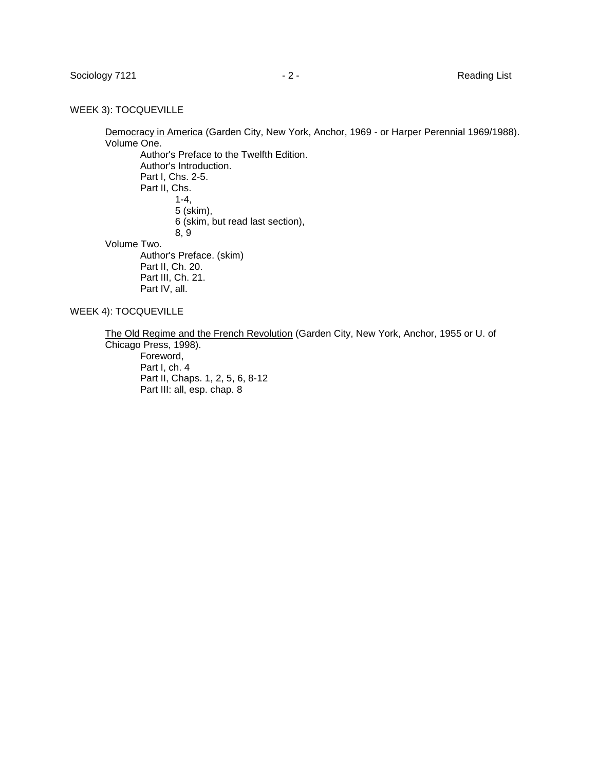# WEEK 3): TOCQUEVILLE

Democracy in America (Garden City, New York, Anchor, 1969 - or Harper Perennial 1969/1988). Volume One.

Author's Preface to the Twelfth Edition. Author's Introduction. Part I, Chs. 2-5. Part II, Chs. 1-4, 5 (skim), 6 (skim, but read last section), 8, 9 Volume Two. Author's Preface. (skim) Part II, Ch. 20. Part III, Ch. 21. Part IV, all.

## WEEK 4): TOCQUEVILLE

The Old Regime and the French Revolution (Garden City, New York, Anchor, 1955 or U. of Chicago Press, 1998). Foreword, Part I, ch. 4 Part II, Chaps. 1, 2, 5, 6, 8-12 Part III: all, esp. chap. 8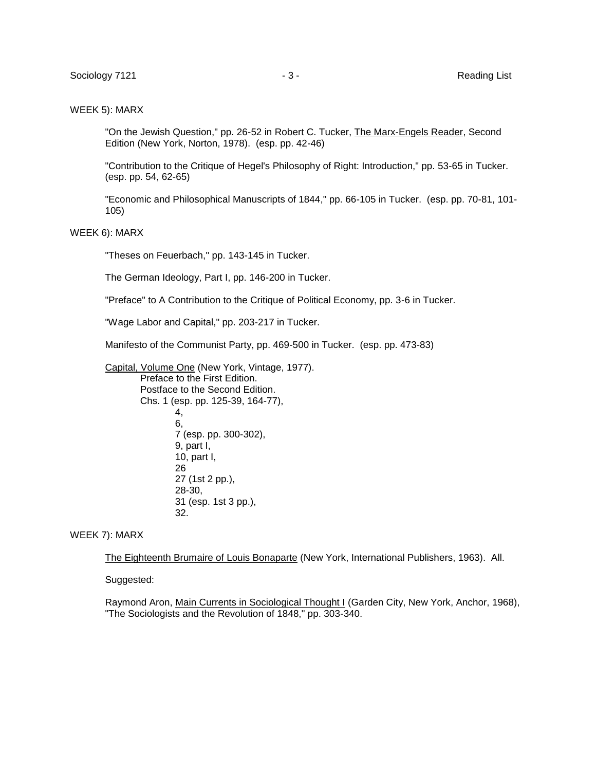# WEEK 5): MARX

"On the Jewish Question," pp. 26-52 in Robert C. Tucker, The Marx-Engels Reader, Second Edition (New York, Norton, 1978). (esp. pp. 42-46)

"Contribution to the Critique of Hegel's Philosophy of Right: Introduction," pp. 53-65 in Tucker. (esp. pp. 54, 62-65)

"Economic and Philosophical Manuscripts of 1844," pp. 66-105 in Tucker. (esp. pp. 70-81, 101- 105)

### WEEK 6): MARX

"Theses on Feuerbach," pp. 143-145 in Tucker.

The German Ideology, Part I, pp. 146-200 in Tucker.

"Preface" to A Contribution to the Critique of Political Economy, pp. 3-6 in Tucker.

"Wage Labor and Capital," pp. 203-217 in Tucker.

Manifesto of the Communist Party, pp. 469-500 in Tucker. (esp. pp. 473-83)

Capital, Volume One (New York, Vintage, 1977).

Preface to the First Edition. Postface to the Second Edition. Chs. 1 (esp. pp. 125-39, 164-77), 4, 6, 7 (esp. pp. 300-302), 9, part I, 10, part I, 26 27 (1st 2 pp.), 28-30, 31 (esp. 1st 3 pp.), 32.

WEEK 7): MARX

The Eighteenth Brumaire of Louis Bonaparte (New York, International Publishers, 1963). All.

Suggested:

Raymond Aron, Main Currents in Sociological Thought I (Garden City, New York, Anchor, 1968), "The Sociologists and the Revolution of 1848," pp. 303-340.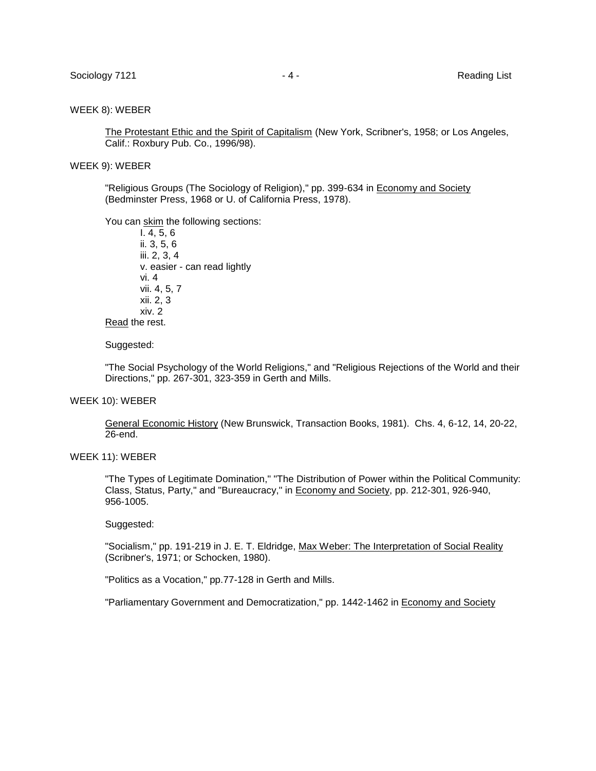## WEEK 8): WEBER

The Protestant Ethic and the Spirit of Capitalism (New York, Scribner's, 1958; or Los Angeles, Calif.: Roxbury Pub. Co., 1996/98).

## WEEK 9): WEBER

"Religious Groups (The Sociology of Religion)," pp. 399-634 in Economy and Society (Bedminster Press, 1968 or U. of California Press, 1978).

## You can skim the following sections:

I. 4, 5, 6 ii. 3, 5, 6 iii. 2, 3, 4 v. easier - can read lightly vi. 4 vii. 4, 5, 7 xii. 2, 3 xiv. 2 Read the rest.

#### Suggested:

"The Social Psychology of the World Religions," and "Religious Rejections of the World and their Directions," pp. 267-301, 323-359 in Gerth and Mills.

#### WEEK 10): WEBER

General Economic History (New Brunswick, Transaction Books, 1981). Chs. 4, 6-12, 14, 20-22, 26-end.

## WEEK 11): WEBER

"The Types of Legitimate Domination," "The Distribution of Power within the Political Community: Class, Status, Party," and "Bureaucracy," in Economy and Society, pp. 212-301, 926-940, 956-1005.

#### Suggested:

"Socialism," pp. 191-219 in J. E. T. Eldridge, Max Weber: The Interpretation of Social Reality (Scribner's, 1971; or Schocken, 1980).

"Politics as a Vocation," pp.77-128 in Gerth and Mills.

"Parliamentary Government and Democratization," pp. 1442-1462 in Economy and Society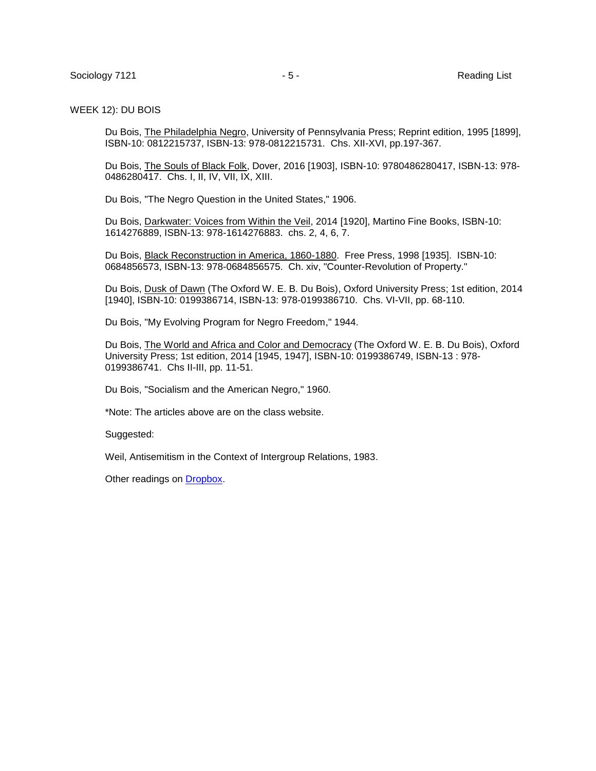## WEEK 12): DU BOIS

Du Bois, The Philadelphia Negro, University of Pennsylvania Press; Reprint edition, 1995 [1899], ISBN-10: 0812215737, ISBN-13: 978-0812215731. Chs. XII-XVI, pp.197-367.

Du Bois, The Souls of Black Folk, Dover, 2016 [1903], ISBN-10: 9780486280417, ISBN-13: 978- 0486280417. Chs. I, II, IV, VII, IX, XIII.

Du Bois, "The Negro Question in the United States," 1906.

Du Bois, Darkwater: Voices from Within the Veil, 2014 [1920], Martino Fine Books, ISBN-10: 1614276889, ISBN-13: 978-1614276883. chs. 2, 4, 6, 7.

Du Bois, Black Reconstruction in America, 1860-1880. Free Press, 1998 [1935]. ISBN-10: 0684856573, ISBN-13: 978-0684856575. Ch. xiv, "Counter-Revolution of Property."

Du Bois, Dusk of Dawn (The Oxford W. E. B. Du Bois), Oxford University Press; 1st edition, 2014 [1940], ISBN-10: 0199386714, ISBN-13: 978-0199386710. Chs. VI-VII, pp. 68-110.

Du Bois, "My Evolving Program for Negro Freedom," 1944.

Du Bois, The World and Africa and Color and Democracy (The Oxford W. E. B. Du Bois), Oxford University Press; 1st edition, 2014 [1945, 1947], ISBN-10: 0199386749, ISBN-13 : 978- 0199386741. Chs II-III, pp. 11-51.

Du Bois, "Socialism and the American Negro," 1960.

\*Note: The articles above are on the class website.

Suggested:

Weil, Antisemitism in the Context of Intergroup Relations, 1983.

Other readings on **Dropbox**.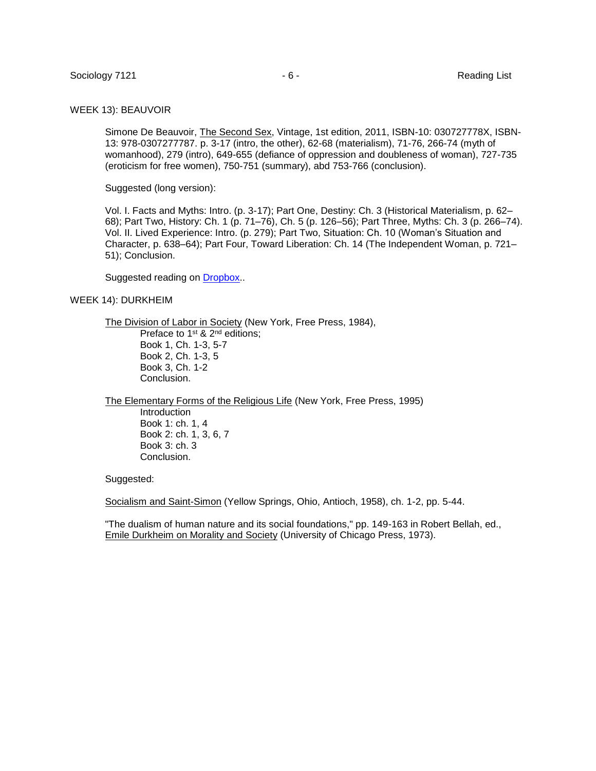## WEEK 13): BEAUVOIR

Simone De Beauvoir, The Second Sex, Vintage, 1st edition, 2011, ISBN-10: 030727778X, ISBN-13: 978-0307277787. p. 3-17 (intro, the other), 62-68 (materialism), 71-76, 266-74 (myth of womanhood), 279 (intro), 649-655 (defiance of oppression and doubleness of woman), 727-735 (eroticism for free women), 750-751 (summary), abd 753-766 (conclusion).

Suggested (long version):

Vol. I. Facts and Myths: Intro. (p. 3-17); Part One, Destiny: Ch. 3 (Historical Materialism, p. 62– 68); Part Two, History: Ch. 1 (p. 71–76), Ch. 5 (p. 126–56); Part Three, Myths: Ch. 3 (p. 266–74). Vol. II. Lived Experience: Intro. (p. 279); Part Two, Situation: Ch. 10 (Woman's Situation and Character, p. 638–64); Part Four, Toward Liberation: Ch. 14 (The Independent Woman, p. 721– 51); Conclusion.

Suggested reading on **Dropbox**...

## WEEK 14): DURKHEIM

The Division of Labor in Society (New York, Free Press, 1984),

Preface to 1<sup>st</sup> & 2<sup>nd</sup> editions; Book 1, Ch. 1-3, 5-7 Book 2, Ch. 1-3, 5 Book 3, Ch. 1-2 Conclusion.

The Elementary Forms of the Religious Life (New York, Free Press, 1995) **Introduction** Book 1: ch. 1, 4 Book 2: ch. 1, 3, 6, 7 Book 3: ch. 3 Conclusion.

Suggested:

Socialism and Saint-Simon (Yellow Springs, Ohio, Antioch, 1958), ch. 1-2, pp. 5-44.

"The dualism of human nature and its social foundations," pp. 149-163 in Robert Bellah, ed., Emile Durkheim on Morality and Society (University of Chicago Press, 1973).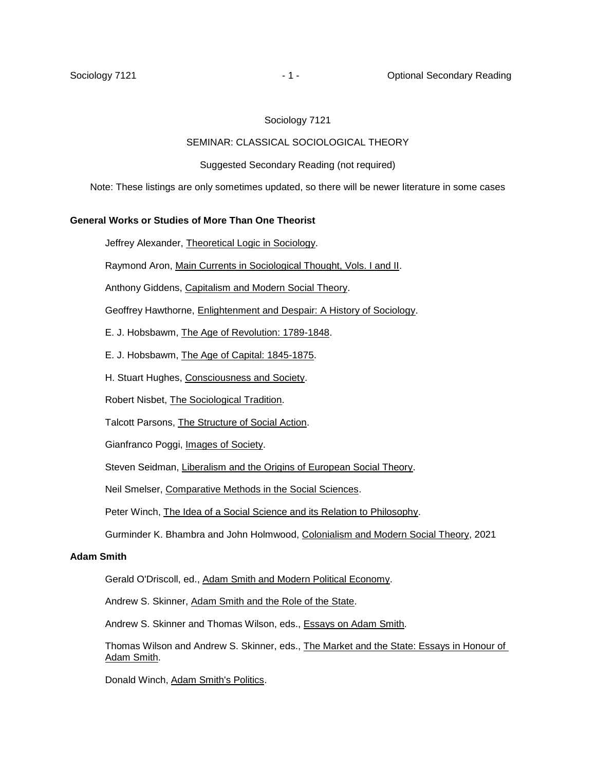## Sociology 7121

## SEMINAR: CLASSICAL SOCIOLOGICAL THEORY

## Suggested Secondary Reading (not required)

Note: These listings are only sometimes updated, so there will be newer literature in some cases

# **General Works or Studies of More Than One Theorist**

Jeffrey Alexander, Theoretical Logic in Sociology.

Raymond Aron, Main Currents in Sociological Thought, Vols. I and II.

Anthony Giddens, Capitalism and Modern Social Theory.

Geoffrey Hawthorne, Enlightenment and Despair: A History of Sociology.

E. J. Hobsbawm, The Age of Revolution: 1789-1848.

E. J. Hobsbawm, The Age of Capital: 1845-1875.

H. Stuart Hughes, Consciousness and Society.

Robert Nisbet, The Sociological Tradition.

Talcott Parsons, The Structure of Social Action.

Gianfranco Poggi, Images of Society.

Steven Seidman, Liberalism and the Origins of European Social Theory.

Neil Smelser, Comparative Methods in the Social Sciences.

Peter Winch, The Idea of a Social Science and its Relation to Philosophy.

Gurminder K. Bhambra and John Holmwood, Colonialism and Modern Social Theory, 2021

## **Adam Smith**

Gerald O'Driscoll, ed., Adam Smith and Modern Political Economy.

Andrew S. Skinner, Adam Smith and the Role of the State.

Andrew S. Skinner and Thomas Wilson, eds., **Essays on Adam Smith.** 

Thomas Wilson and Andrew S. Skinner, eds., The Market and the State: Essays in Honour of Adam Smith.

Donald Winch, Adam Smith's Politics.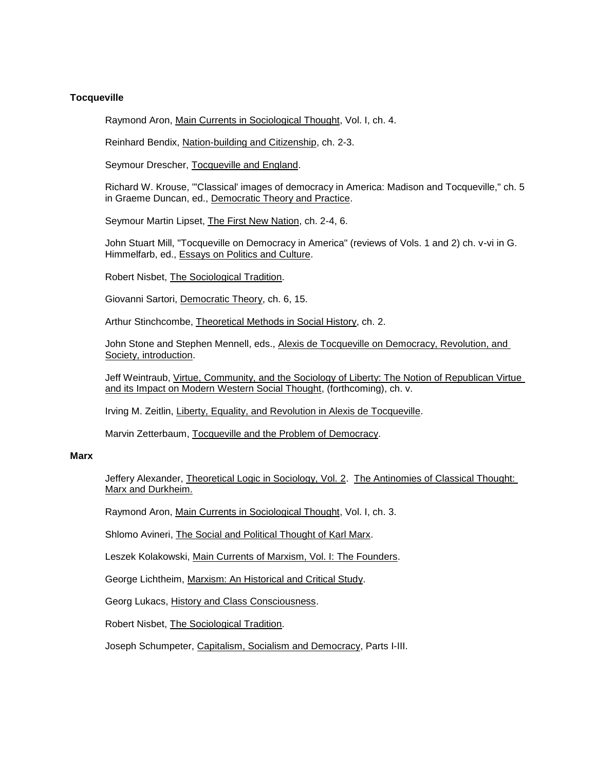## **Tocqueville**

Raymond Aron, Main Currents in Sociological Thought, Vol. I, ch. 4.

Reinhard Bendix, Nation-building and Citizenship, ch. 2-3.

Seymour Drescher, Tocqueville and England.

Richard W. Krouse, "'Classical' images of democracy in America: Madison and Tocqueville," ch. 5 in Graeme Duncan, ed., Democratic Theory and Practice.

Seymour Martin Lipset, The First New Nation, ch. 2-4, 6.

John Stuart Mill, "Tocqueville on Democracy in America" (reviews of Vols. 1 and 2) ch. v-vi in G. Himmelfarb, ed., Essays on Politics and Culture.

Robert Nisbet, The Sociological Tradition.

Giovanni Sartori, Democratic Theory, ch. 6, 15.

Arthur Stinchcombe, Theoretical Methods in Social History, ch. 2.

John Stone and Stephen Mennell, eds., Alexis de Tocqueville on Democracy, Revolution, and Society, introduction.

Jeff Weintraub, Virtue, Community, and the Sociology of Liberty: The Notion of Republican Virtue and its Impact on Modern Western Social Thought, (forthcoming), ch. v.

Irving M. Zeitlin, Liberty, Equality, and Revolution in Alexis de Tocqueville.

Marvin Zetterbaum, Tocqueville and the Problem of Democracy.

### **Marx**

Jeffery Alexander, Theoretical Logic in Sociology, Vol. 2. The Antinomies of Classical Thought: Marx and Durkheim.

Raymond Aron, Main Currents in Sociological Thought, Vol. I, ch. 3.

Shlomo Avineri, The Social and Political Thought of Karl Marx.

Leszek Kolakowski, Main Currents of Marxism, Vol. I: The Founders.

George Lichtheim, Marxism: An Historical and Critical Study.

Georg Lukacs, History and Class Consciousness.

Robert Nisbet, The Sociological Tradition.

Joseph Schumpeter, Capitalism, Socialism and Democracy, Parts I-III.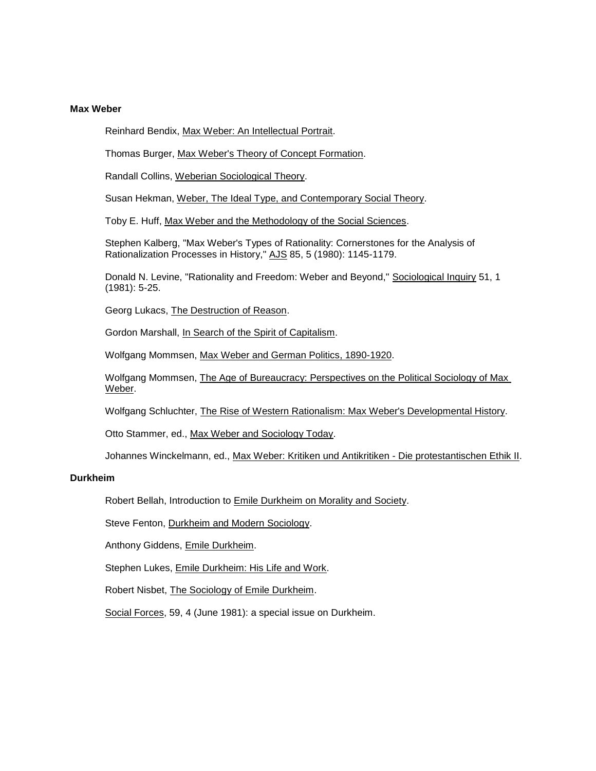## **Max Weber**

Reinhard Bendix, Max Weber: An Intellectual Portrait.

Thomas Burger, Max Weber's Theory of Concept Formation.

Randall Collins, Weberian Sociological Theory.

Susan Hekman, Weber, The Ideal Type, and Contemporary Social Theory.

Toby E. Huff, Max Weber and the Methodology of the Social Sciences.

Stephen Kalberg, "Max Weber's Types of Rationality: Cornerstones for the Analysis of Rationalization Processes in History," AJS 85, 5 (1980): 1145-1179.

Donald N. Levine, "Rationality and Freedom: Weber and Beyond," Sociological Inquiry 51, 1 (1981): 5-25.

Georg Lukacs, The Destruction of Reason.

Gordon Marshall, In Search of the Spirit of Capitalism.

Wolfgang Mommsen, Max Weber and German Politics, 1890-1920.

Wolfgang Mommsen, The Age of Bureaucracy: Perspectives on the Political Sociology of Max Weber.

Wolfgang Schluchter, The Rise of Western Rationalism: Max Weber's Developmental History.

Otto Stammer, ed., Max Weber and Sociology Today.

Johannes Winckelmann, ed., Max Weber: Kritiken und Antikritiken - Die protestantischen Ethik II.

#### **Durkheim**

Robert Bellah, Introduction to Emile Durkheim on Morality and Society.

Steve Fenton, Durkheim and Modern Sociology.

Anthony Giddens, Emile Durkheim.

Stephen Lukes, Emile Durkheim: His Life and Work.

Robert Nisbet, The Sociology of Emile Durkheim.

Social Forces, 59, 4 (June 1981): a special issue on Durkheim.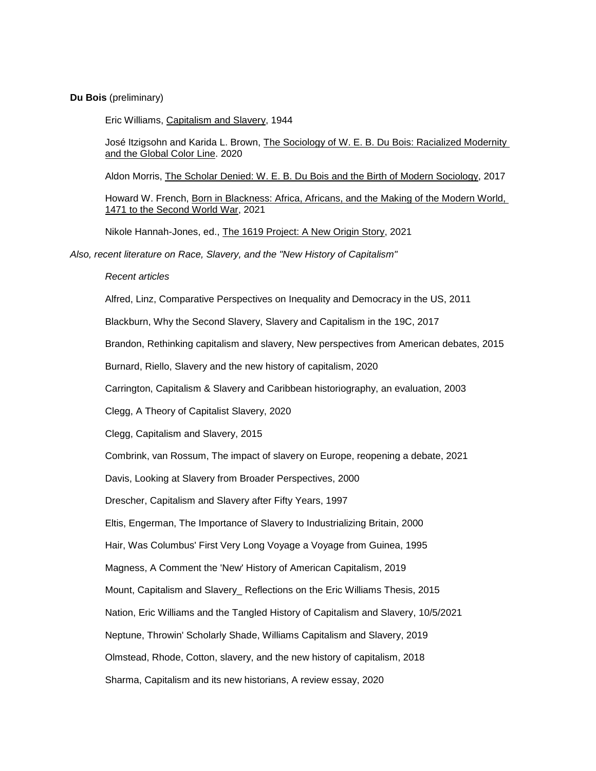**Du Bois** (preliminary)

Eric Williams, Capitalism and Slavery, 1944

José Itzigsohn and Karida L. Brown, The Sociology of W. E. B. Du Bois: Racialized Modernity and the Global Color Line. 2020

Aldon Morris, The Scholar Denied: W. E. B. Du Bois and the Birth of Modern Sociology, 2017

Howard W. French, Born in Blackness: Africa, Africans, and the Making of the Modern World, 1471 to the Second World War, 2021

Nikole Hannah-Jones, ed., The 1619 Project: A New Origin Story, 2021

*Also, recent literature on Race, Slavery, and the "New History of Capitalism"*

#### *Recent articles*

Alfred, Linz, Comparative Perspectives on Inequality and Democracy in the US, 2011

Blackburn, Why the Second Slavery, Slavery and Capitalism in the 19C, 2017

Brandon, Rethinking capitalism and slavery, New perspectives from American debates, 2015

Burnard, Riello, Slavery and the new history of capitalism, 2020

Carrington, Capitalism & Slavery and Caribbean historiography, an evaluation, 2003

Clegg, A Theory of Capitalist Slavery, 2020

Clegg, Capitalism and Slavery, 2015

Combrink, van Rossum, The impact of slavery on Europe, reopening a debate, 2021

Davis, Looking at Slavery from Broader Perspectives, 2000

Drescher, Capitalism and Slavery after Fifty Years, 1997

Eltis, Engerman, The Importance of Slavery to Industrializing Britain, 2000

Hair, Was Columbus' First Very Long Voyage a Voyage from Guinea, 1995

Magness, A Comment the 'New' History of American Capitalism, 2019

Mount, Capitalism and Slavery\_ Reflections on the Eric Williams Thesis, 2015

Nation, Eric Williams and the Tangled History of Capitalism and Slavery, 10/5/2021

Neptune, Throwin' Scholarly Shade, Williams Capitalism and Slavery, 2019

Olmstead, Rhode, Cotton, slavery, and the new history of capitalism, 2018

Sharma, Capitalism and its new historians, A review essay, 2020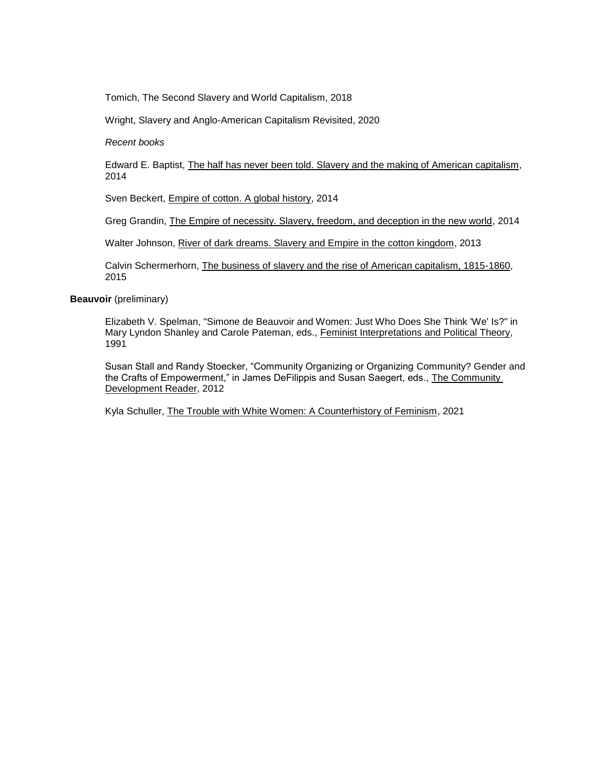Tomich, The Second Slavery and World Capitalism, 2018

Wright, Slavery and Anglo-American Capitalism Revisited, 2020

*Recent books*

Edward E. Baptist, The half has never been told. Slavery and the making of American capitalism, 2014

Sven Beckert, Empire of cotton. A global history, 2014

Greg Grandin, The Empire of necessity. Slavery, freedom, and deception in the new world, 2014

Walter Johnson, River of dark dreams. Slavery and Empire in the cotton kingdom, 2013

Calvin Schermerhorn, The business of slavery and the rise of American capitalism, 1815-1860, 2015

**Beauvoir** (preliminary)

Elizabeth V. Spelman, "Simone de Beauvoir and Women: Just Who Does She Think 'We' Is?" in Mary Lyndon Shanley and Carole Pateman, eds., Feminist Interpretations and Political Theory, 1991

Susan Stall and Randy Stoecker, "Community Organizing or Organizing Community? Gender and the Crafts of Empowerment," in James DeFilippis and Susan Saegert, eds., The Community Development Reader, 2012

Kyla Schuller, The Trouble with White Women: A Counterhistory of Feminism, 2021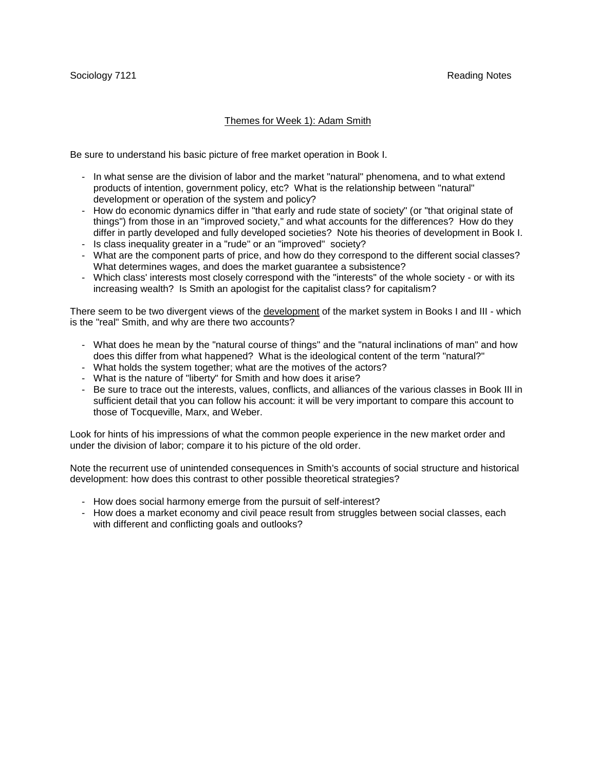# Themes for Week 1): Adam Smith

Be sure to understand his basic picture of free market operation in Book I.

- In what sense are the division of labor and the market "natural" phenomena, and to what extend products of intention, government policy, etc? What is the relationship between "natural" development or operation of the system and policy?
- How do economic dynamics differ in "that early and rude state of society" (or "that original state of things") from those in an "improved society," and what accounts for the differences? How do they differ in partly developed and fully developed societies? Note his theories of development in Book I.
- Is class inequality greater in a "rude" or an "improved" society?
- What are the component parts of price, and how do they correspond to the different social classes? What determines wages, and does the market guarantee a subsistence?
- Which class' interests most closely correspond with the "interests" of the whole society or with its increasing wealth? Is Smith an apologist for the capitalist class? for capitalism?

There seem to be two divergent views of the development of the market system in Books I and III - which is the "real" Smith, and why are there two accounts?

- What does he mean by the "natural course of things" and the "natural inclinations of man" and how does this differ from what happened? What is the ideological content of the term "natural?"
- What holds the system together; what are the motives of the actors?
- What is the nature of "liberty" for Smith and how does it arise?
- Be sure to trace out the interests, values, conflicts, and alliances of the various classes in Book III in sufficient detail that you can follow his account: it will be very important to compare this account to those of Tocqueville, Marx, and Weber.

Look for hints of his impressions of what the common people experience in the new market order and under the division of labor; compare it to his picture of the old order.

Note the recurrent use of unintended consequences in Smith's accounts of social structure and historical development: how does this contrast to other possible theoretical strategies?

- How does social harmony emerge from the pursuit of self-interest?
- How does a market economy and civil peace result from struggles between social classes, each with different and conflicting goals and outlooks?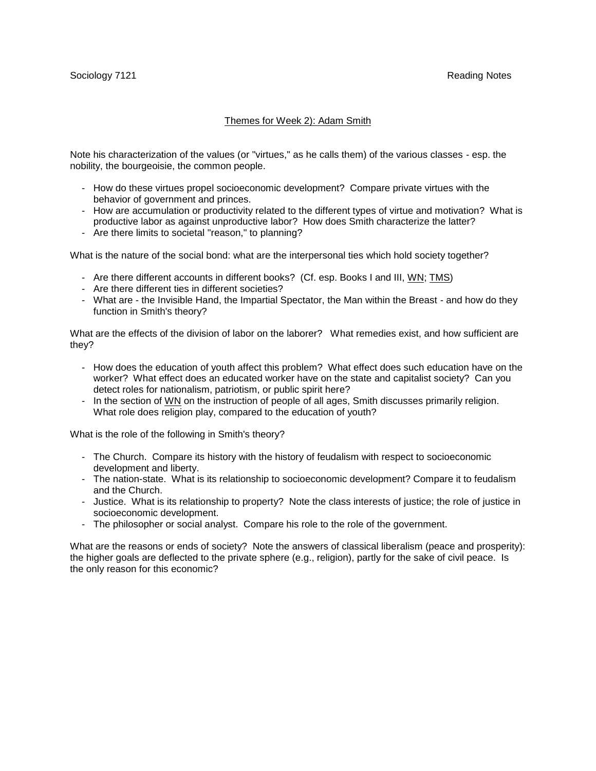# Themes for Week 2): Adam Smith

Note his characterization of the values (or "virtues," as he calls them) of the various classes - esp. the nobility, the bourgeoisie, the common people.

- How do these virtues propel socioeconomic development? Compare private virtues with the behavior of government and princes.
- How are accumulation or productivity related to the different types of virtue and motivation? What is productive labor as against unproductive labor? How does Smith characterize the latter?
- Are there limits to societal "reason," to planning?

What is the nature of the social bond: what are the interpersonal ties which hold society together?

- Are there different accounts in different books? (Cf. esp. Books I and III, WN; TMS)
- Are there different ties in different societies?
- What are the Invisible Hand, the Impartial Spectator, the Man within the Breast and how do they function in Smith's theory?

What are the effects of the division of labor on the laborer? What remedies exist, and how sufficient are they?

- How does the education of youth affect this problem? What effect does such education have on the worker? What effect does an educated worker have on the state and capitalist society? Can you detect roles for nationalism, patriotism, or public spirit here?
- In the section of WN on the instruction of people of all ages, Smith discusses primarily religion. What role does religion play, compared to the education of youth?

What is the role of the following in Smith's theory?

- The Church. Compare its history with the history of feudalism with respect to socioeconomic development and liberty.
- The nation-state. What is its relationship to socioeconomic development? Compare it to feudalism and the Church.
- Justice. What is its relationship to property? Note the class interests of justice; the role of justice in socioeconomic development.
- The philosopher or social analyst. Compare his role to the role of the government.

What are the reasons or ends of society? Note the answers of classical liberalism (peace and prosperity): the higher goals are deflected to the private sphere (e.g., religion), partly for the sake of civil peace. Is the only reason for this economic?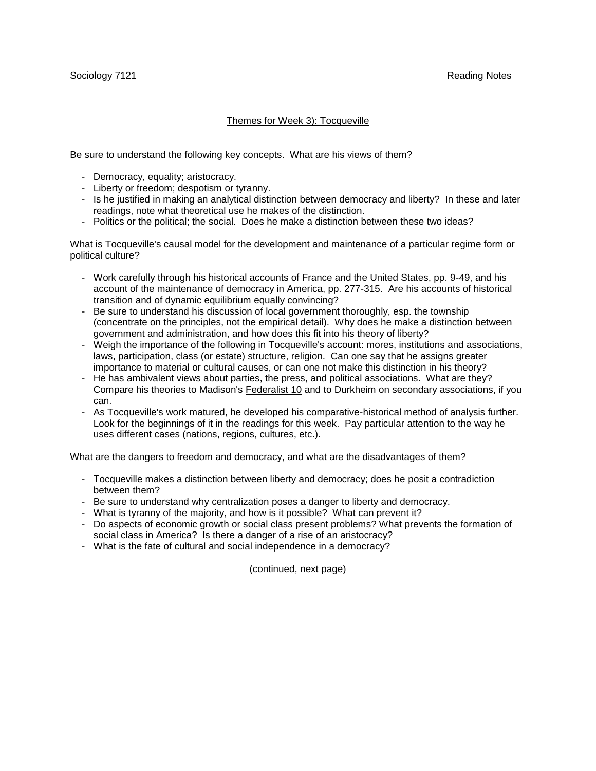# Themes for Week 3): Tocqueville

Be sure to understand the following key concepts. What are his views of them?

- Democracy, equality; aristocracy.
- Liberty or freedom; despotism or tyranny.
- Is he justified in making an analytical distinction between democracy and liberty? In these and later readings, note what theoretical use he makes of the distinction.
- Politics or the political; the social. Does he make a distinction between these two ideas?

What is Tocqueville's causal model for the development and maintenance of a particular regime form or political culture?

- Work carefully through his historical accounts of France and the United States, pp. 9-49, and his account of the maintenance of democracy in America, pp. 277-315. Are his accounts of historical transition and of dynamic equilibrium equally convincing?
- Be sure to understand his discussion of local government thoroughly, esp. the township (concentrate on the principles, not the empirical detail). Why does he make a distinction between government and administration, and how does this fit into his theory of liberty?
- Weigh the importance of the following in Tocqueville's account: mores, institutions and associations, laws, participation, class (or estate) structure, religion. Can one say that he assigns greater importance to material or cultural causes, or can one not make this distinction in his theory?
- He has ambivalent views about parties, the press, and political associations. What are they? Compare his theories to Madison's Federalist 10 and to Durkheim on secondary associations, if you can.
- As Tocqueville's work matured, he developed his comparative-historical method of analysis further. Look for the beginnings of it in the readings for this week. Pay particular attention to the way he uses different cases (nations, regions, cultures, etc.).

What are the dangers to freedom and democracy, and what are the disadvantages of them?

- Tocqueville makes a distinction between liberty and democracy; does he posit a contradiction between them?
- Be sure to understand why centralization poses a danger to liberty and democracy.
- What is tyranny of the majority, and how is it possible? What can prevent it?
- Do aspects of economic growth or social class present problems? What prevents the formation of social class in America? Is there a danger of a rise of an aristocracy?
- What is the fate of cultural and social independence in a democracy?

(continued, next page)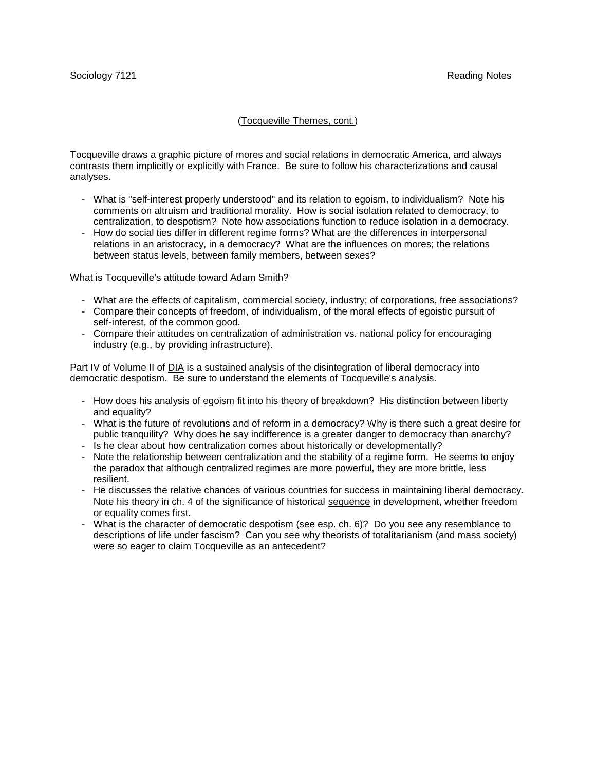# (Tocqueville Themes, cont.)

Tocqueville draws a graphic picture of mores and social relations in democratic America, and always contrasts them implicitly or explicitly with France. Be sure to follow his characterizations and causal analyses.

- What is "self-interest properly understood" and its relation to egoism, to individualism? Note his comments on altruism and traditional morality. How is social isolation related to democracy, to centralization, to despotism? Note how associations function to reduce isolation in a democracy.
- How do social ties differ in different regime forms? What are the differences in interpersonal relations in an aristocracy, in a democracy? What are the influences on mores; the relations between status levels, between family members, between sexes?

What is Tocqueville's attitude toward Adam Smith?

- What are the effects of capitalism, commercial society, industry; of corporations, free associations?
- Compare their concepts of freedom, of individualism, of the moral effects of egoistic pursuit of self-interest, of the common good.
- Compare their attitudes on centralization of administration vs. national policy for encouraging industry (e.g., by providing infrastructure).

Part IV of Volume II of DIA is a sustained analysis of the disintegration of liberal democracy into democratic despotism. Be sure to understand the elements of Tocqueville's analysis.

- How does his analysis of egoism fit into his theory of breakdown? His distinction between liberty and equality?
- What is the future of revolutions and of reform in a democracy? Why is there such a great desire for public tranquility? Why does he say indifference is a greater danger to democracy than anarchy?
- Is he clear about how centralization comes about historically or developmentally?
- Note the relationship between centralization and the stability of a regime form. He seems to enjoy the paradox that although centralized regimes are more powerful, they are more brittle, less resilient.
- He discusses the relative chances of various countries for success in maintaining liberal democracy. Note his theory in ch. 4 of the significance of historical sequence in development, whether freedom or equality comes first.
- What is the character of democratic despotism (see esp. ch. 6)? Do you see any resemblance to descriptions of life under fascism? Can you see why theorists of totalitarianism (and mass society) were so eager to claim Tocqueville as an antecedent?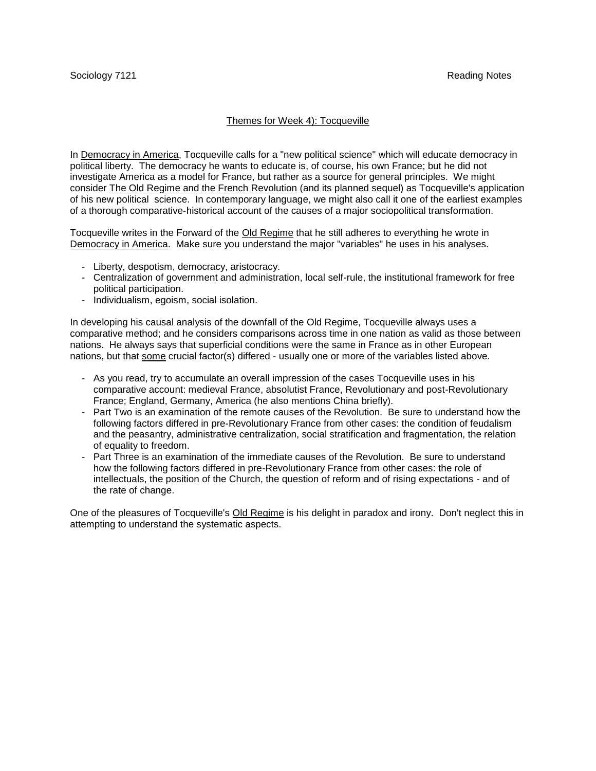# Themes for Week 4): Tocqueville

In Democracy in America, Tocqueville calls for a "new political science" which will educate democracy in political liberty. The democracy he wants to educate is, of course, his own France; but he did not investigate America as a model for France, but rather as a source for general principles. We might consider The Old Regime and the French Revolution (and its planned sequel) as Tocqueville's application of his new political science. In contemporary language, we might also call it one of the earliest examples of a thorough comparative-historical account of the causes of a major sociopolitical transformation.

Tocqueville writes in the Forward of the Old Regime that he still adheres to everything he wrote in Democracy in America. Make sure you understand the major "variables" he uses in his analyses.

- Liberty, despotism, democracy, aristocracy.
- Centralization of government and administration, local self-rule, the institutional framework for free political participation.
- Individualism, egoism, social isolation.

In developing his causal analysis of the downfall of the Old Regime, Tocqueville always uses a comparative method; and he considers comparisons across time in one nation as valid as those between nations. He always says that superficial conditions were the same in France as in other European nations, but that some crucial factor(s) differed - usually one or more of the variables listed above.

- As you read, try to accumulate an overall impression of the cases Tocqueville uses in his comparative account: medieval France, absolutist France, Revolutionary and post-Revolutionary France; England, Germany, America (he also mentions China briefly).
- Part Two is an examination of the remote causes of the Revolution. Be sure to understand how the following factors differed in pre-Revolutionary France from other cases: the condition of feudalism and the peasantry, administrative centralization, social stratification and fragmentation, the relation of equality to freedom.
- Part Three is an examination of the immediate causes of the Revolution. Be sure to understand how the following factors differed in pre-Revolutionary France from other cases: the role of intellectuals, the position of the Church, the question of reform and of rising expectations - and of the rate of change.

One of the pleasures of Tocqueville's Old Regime is his delight in paradox and irony. Don't neglect this in attempting to understand the systematic aspects.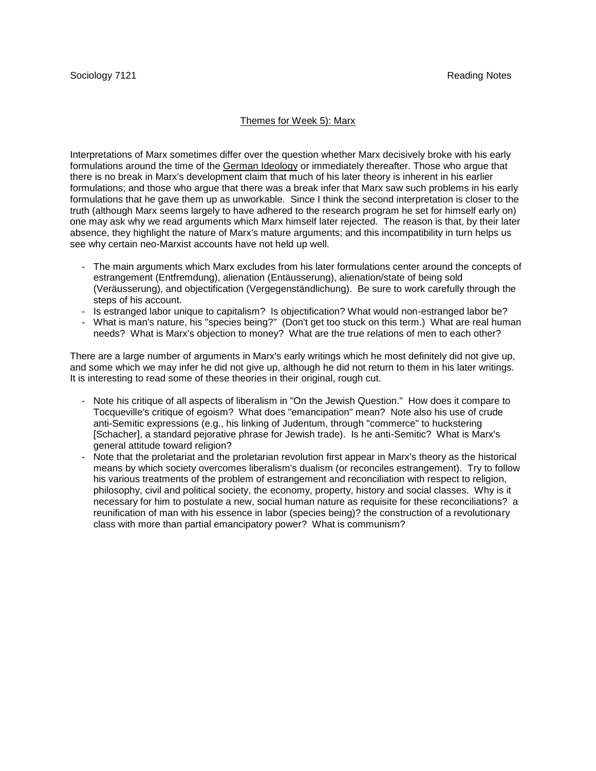# Themes for Week 5): Marx

Interpretations of Marx sometimes differ over the question whether Marx decisively broke with his early formulations around the time of the German Ideology or immediately thereafter. Those who argue that there is no break in Marx's development claim that much of his later theory is inherent in his earlier formulations; and those who argue that there was a break infer that Marx saw such problems in his early formulations that he gave them up as unworkable. Since I think the second interpretation is closer to the truth (although Marx seems largely to have adhered to the research program he set for himself early on) one may ask why we read arguments which Marx himself later rejected. The reason is that, by their later absence, they highlight the nature of Marx's mature arguments; and this incompatibility in turn helps us see why certain neo-Marxist accounts have not held up well.

- The main arguments which Marx excludes from his later formulations center around the concepts of estrangement (Entfremdung), alienation (Entäusserung), alienation/state of being sold (Veräusserung), and objectification (Vergegenständlichung). Be sure to work carefully through the steps of his account.
- Is estranged labor unique to capitalism? Is objectification? What would non-estranged labor be?
- What is man's nature, his "species being?" (Don't get too stuck on this term.) What are real human needs? What is Marx's objection to money? What are the true relations of men to each other?

There are a large number of arguments in Marx's early writings which he most definitely did not give up, and some which we may infer he did not give up, although he did not return to them in his later writings. It is interesting to read some of these theories in their original, rough cut.

- Note his critique of all aspects of liberalism in "On the Jewish Question." How does it compare to Tocqueville's critique of egoism? What does "emancipation" mean? Note also his use of crude anti-Semitic expressions (e.g., his linking of Judentum, through "commerce" to huckstering [Schacher], a standard pejorative phrase for Jewish trade). Is he anti-Semitic? What is Marx's general attitude toward religion?
- Note that the proletariat and the proletarian revolution first appear in Marx's theory as the historical means by which society overcomes liberalism's dualism (or reconciles estrangement). Try to follow his various treatments of the problem of estrangement and reconciliation with respect to religion, philosophy, civil and political society, the economy, property, history and social classes. Why is it necessary for him to postulate a new, social human nature as requisite for these reconciliations? a reunification of man with his essence in labor (species being)? the construction of a revolutionary class with more than partial emancipatory power? What is communism?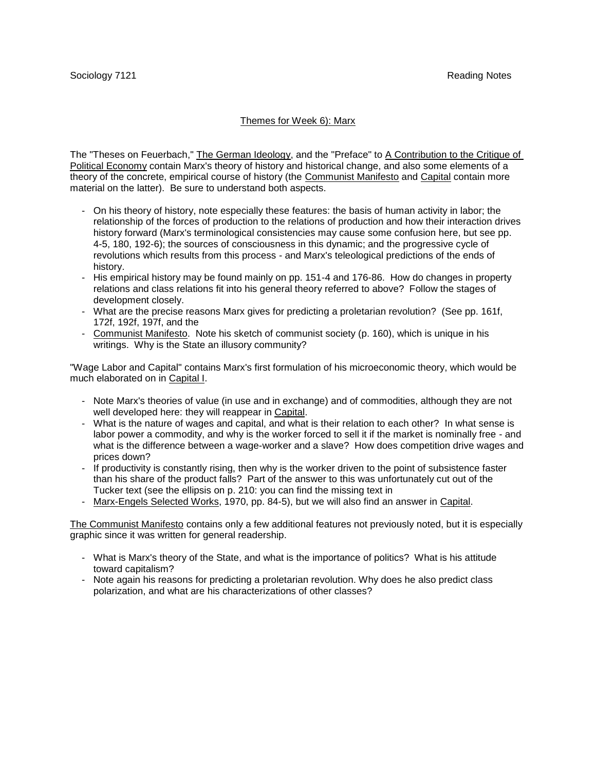# Themes for Week 6): Marx

The "Theses on Feuerbach," The German Ideology, and the "Preface" to A Contribution to the Critique of Political Economy contain Marx's theory of history and historical change, and also some elements of a theory of the concrete, empirical course of history (the Communist Manifesto and Capital contain more material on the latter). Be sure to understand both aspects.

- On his theory of history, note especially these features: the basis of human activity in labor; the relationship of the forces of production to the relations of production and how their interaction drives history forward (Marx's terminological consistencies may cause some confusion here, but see pp. 4-5, 180, 192-6); the sources of consciousness in this dynamic; and the progressive cycle of revolutions which results from this process - and Marx's teleological predictions of the ends of history.
- His empirical history may be found mainly on pp. 151-4 and 176-86. How do changes in property relations and class relations fit into his general theory referred to above? Follow the stages of development closely.
- What are the precise reasons Marx gives for predicting a proletarian revolution? (See pp. 161f, 172f, 192f, 197f, and the
- Communist Manifesto. Note his sketch of communist society (p. 160), which is unique in his writings. Why is the State an illusory community?

"Wage Labor and Capital" contains Marx's first formulation of his microeconomic theory, which would be much elaborated on in Capital I.

- Note Marx's theories of value (in use and in exchange) and of commodities, although they are not well developed here: they will reappear in Capital.
- What is the nature of wages and capital, and what is their relation to each other? In what sense is labor power a commodity, and why is the worker forced to sell it if the market is nominally free - and what is the difference between a wage-worker and a slave? How does competition drive wages and prices down?
- If productivity is constantly rising, then why is the worker driven to the point of subsistence faster than his share of the product falls? Part of the answer to this was unfortunately cut out of the Tucker text (see the ellipsis on p. 210: you can find the missing text in
- Marx-Engels Selected Works, 1970, pp. 84-5), but we will also find an answer in Capital.

The Communist Manifesto contains only a few additional features not previously noted, but it is especially graphic since it was written for general readership.

- What is Marx's theory of the State, and what is the importance of politics? What is his attitude toward capitalism?
- Note again his reasons for predicting a proletarian revolution. Why does he also predict class polarization, and what are his characterizations of other classes?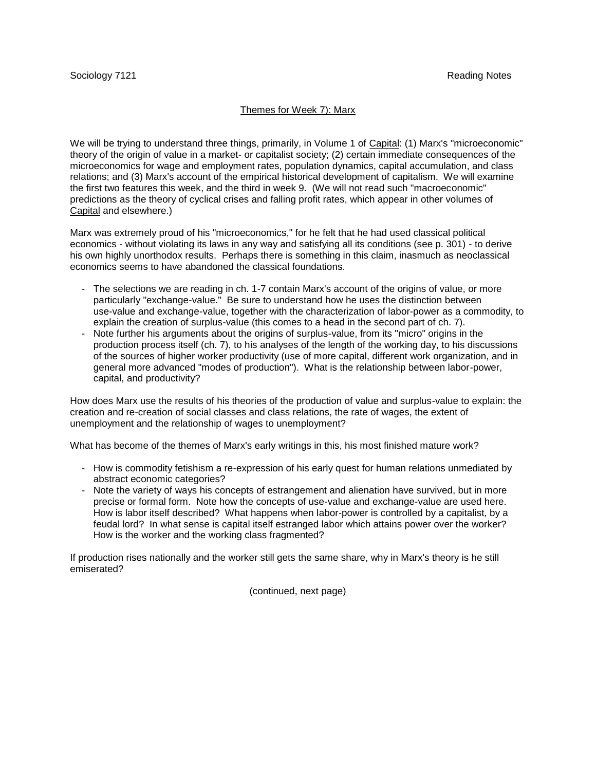## Themes for Week 7): Marx

We will be trying to understand three things, primarily, in Volume 1 of Capital: (1) Marx's "microeconomic" theory of the origin of value in a market- or capitalist society; (2) certain immediate consequences of the microeconomics for wage and employment rates, population dynamics, capital accumulation, and class relations; and (3) Marx's account of the empirical historical development of capitalism. We will examine the first two features this week, and the third in week 9. (We will not read such "macroeconomic" predictions as the theory of cyclical crises and falling profit rates, which appear in other volumes of Capital and elsewhere.)

Marx was extremely proud of his "microeconomics," for he felt that he had used classical political economics - without violating its laws in any way and satisfying all its conditions (see p. 301) - to derive his own highly unorthodox results. Perhaps there is something in this claim, inasmuch as neoclassical economics seems to have abandoned the classical foundations.

- The selections we are reading in ch. 1-7 contain Marx's account of the origins of value, or more particularly "exchange-value." Be sure to understand how he uses the distinction between use-value and exchange-value, together with the characterization of labor-power as a commodity, to explain the creation of surplus-value (this comes to a head in the second part of ch. 7).
- Note further his arguments about the origins of surplus-value, from its "micro" origins in the production process itself (ch. 7), to his analyses of the length of the working day, to his discussions of the sources of higher worker productivity (use of more capital, different work organization, and in general more advanced "modes of production"). What is the relationship between labor-power, capital, and productivity?

How does Marx use the results of his theories of the production of value and surplus-value to explain: the creation and re-creation of social classes and class relations, the rate of wages, the extent of unemployment and the relationship of wages to unemployment?

What has become of the themes of Marx's early writings in this, his most finished mature work?

- How is commodity fetishism a re-expression of his early quest for human relations unmediated by abstract economic categories?
- Note the variety of ways his concepts of estrangement and alienation have survived, but in more precise or formal form. Note how the concepts of use-value and exchange-value are used here. How is labor itself described? What happens when labor-power is controlled by a capitalist, by a feudal lord? In what sense is capital itself estranged labor which attains power over the worker? How is the worker and the working class fragmented?

If production rises nationally and the worker still gets the same share, why in Marx's theory is he still emiserated?

(continued, next page)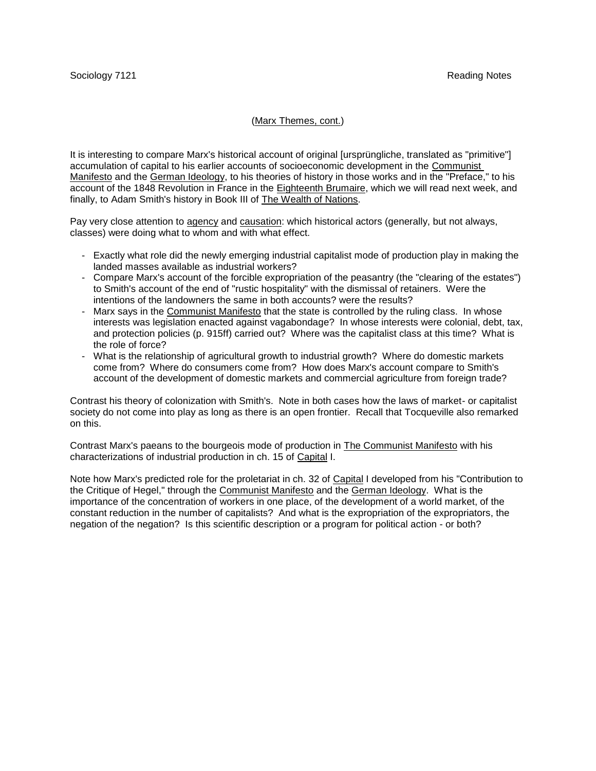# (Marx Themes, cont.)

It is interesting to compare Marx's historical account of original [ursprüngliche, translated as "primitive"] accumulation of capital to his earlier accounts of socioeconomic development in the Communist Manifesto and the German Ideology, to his theories of history in those works and in the "Preface," to his account of the 1848 Revolution in France in the Eighteenth Brumaire, which we will read next week, and finally, to Adam Smith's history in Book III of The Wealth of Nations.

Pay very close attention to agency and causation: which historical actors (generally, but not always, classes) were doing what to whom and with what effect.

- Exactly what role did the newly emerging industrial capitalist mode of production play in making the landed masses available as industrial workers?
- Compare Marx's account of the forcible expropriation of the peasantry (the "clearing of the estates") to Smith's account of the end of "rustic hospitality" with the dismissal of retainers. Were the intentions of the landowners the same in both accounts? were the results?
- Marx says in the Communist Manifesto that the state is controlled by the ruling class. In whose interests was legislation enacted against vagabondage? In whose interests were colonial, debt, tax, and protection policies (p. 915ff) carried out? Where was the capitalist class at this time? What is the role of force?
- What is the relationship of agricultural growth to industrial growth? Where do domestic markets come from? Where do consumers come from? How does Marx's account compare to Smith's account of the development of domestic markets and commercial agriculture from foreign trade?

Contrast his theory of colonization with Smith's. Note in both cases how the laws of market- or capitalist society do not come into play as long as there is an open frontier. Recall that Tocqueville also remarked on this.

Contrast Marx's paeans to the bourgeois mode of production in The Communist Manifesto with his characterizations of industrial production in ch. 15 of Capital I.

Note how Marx's predicted role for the proletariat in ch. 32 of Capital I developed from his "Contribution to the Critique of Hegel," through the Communist Manifesto and the German Ideology. What is the importance of the concentration of workers in one place, of the development of a world market, of the constant reduction in the number of capitalists? And what is the expropriation of the expropriators, the negation of the negation? Is this scientific description or a program for political action - or both?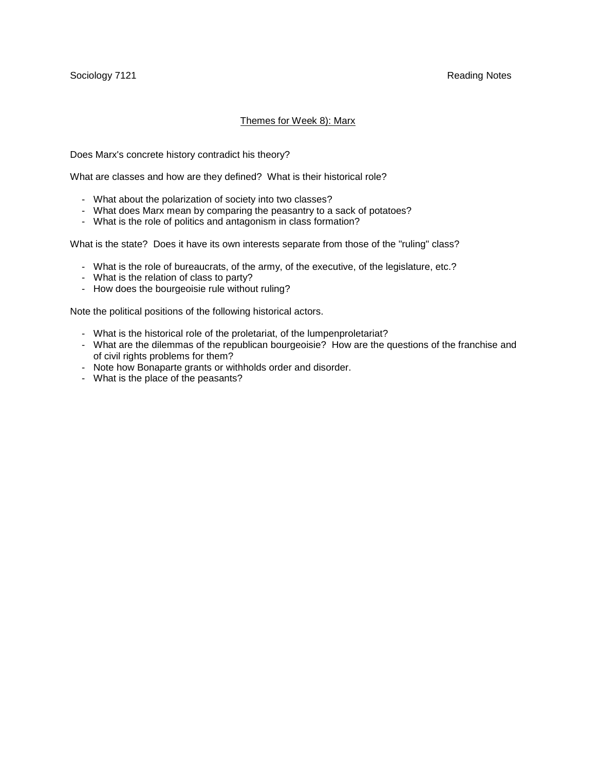# Themes for Week 8): Marx

Does Marx's concrete history contradict his theory?

What are classes and how are they defined? What is their historical role?

- What about the polarization of society into two classes?
- What does Marx mean by comparing the peasantry to a sack of potatoes?
- What is the role of politics and antagonism in class formation?

What is the state? Does it have its own interests separate from those of the "ruling" class?

- What is the role of bureaucrats, of the army, of the executive, of the legislature, etc.?
- What is the relation of class to party?
- How does the bourgeoisie rule without ruling?

Note the political positions of the following historical actors.

- What is the historical role of the proletariat, of the lumpenproletariat?
- What are the dilemmas of the republican bourgeoisie? How are the questions of the franchise and of civil rights problems for them?
- Note how Bonaparte grants or withholds order and disorder.
- What is the place of the peasants?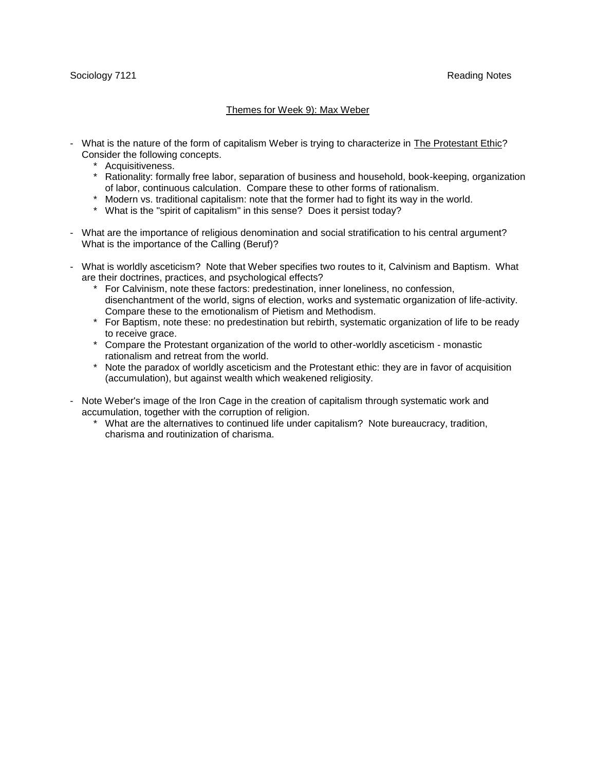# Themes for Week 9): Max Weber

- What is the nature of the form of capitalism Weber is trying to characterize in The Protestant Ethic? Consider the following concepts.
	- \* Acquisitiveness.
	- \* Rationality: formally free labor, separation of business and household, book-keeping, organization of labor, continuous calculation. Compare these to other forms of rationalism.
	- \* Modern vs. traditional capitalism: note that the former had to fight its way in the world.
	- What is the "spirit of capitalism" in this sense? Does it persist today?
- What are the importance of religious denomination and social stratification to his central argument? What is the importance of the Calling (Beruf)?
- What is worldly asceticism? Note that Weber specifies two routes to it, Calvinism and Baptism. What are their doctrines, practices, and psychological effects?
	- \* For Calvinism, note these factors: predestination, inner loneliness, no confession, disenchantment of the world, signs of election, works and systematic organization of life-activity. Compare these to the emotionalism of Pietism and Methodism.
	- \* For Baptism, note these: no predestination but rebirth, systematic organization of life to be ready to receive grace.
	- \* Compare the Protestant organization of the world to other-worldly asceticism monastic rationalism and retreat from the world.
	- Note the paradox of worldly asceticism and the Protestant ethic: they are in favor of acquisition (accumulation), but against wealth which weakened religiosity.
- Note Weber's image of the Iron Cage in the creation of capitalism through systematic work and accumulation, together with the corruption of religion.
	- \* What are the alternatives to continued life under capitalism? Note bureaucracy, tradition, charisma and routinization of charisma.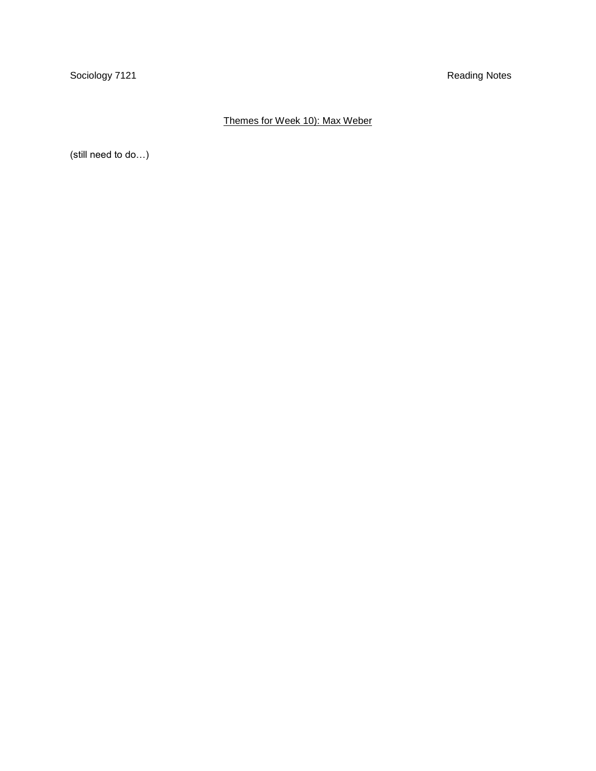# Themes for Week 10): Max Weber

(still need to do…)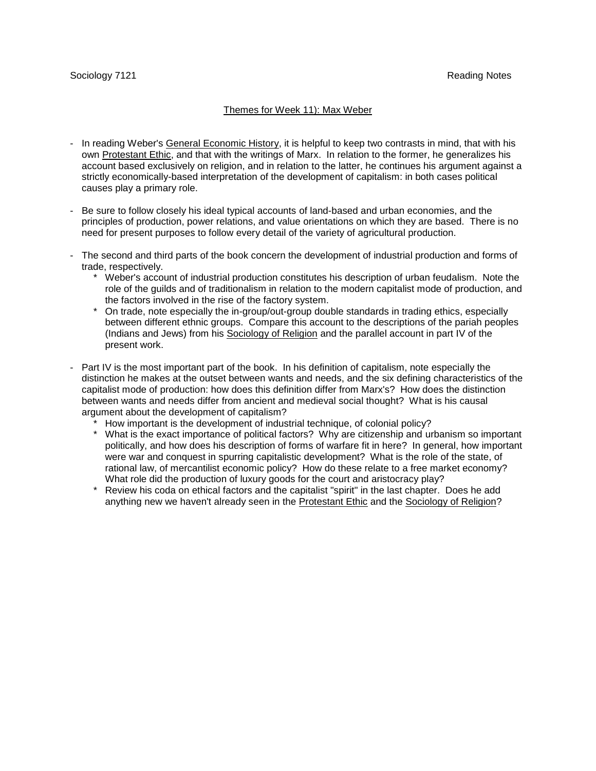# Themes for Week 11): Max Weber

- In reading Weber's General Economic History, it is helpful to keep two contrasts in mind, that with his own Protestant Ethic, and that with the writings of Marx. In relation to the former, he generalizes his account based exclusively on religion, and in relation to the latter, he continues his argument against a strictly economically-based interpretation of the development of capitalism: in both cases political causes play a primary role.
- Be sure to follow closely his ideal typical accounts of land-based and urban economies, and the principles of production, power relations, and value orientations on which they are based. There is no need for present purposes to follow every detail of the variety of agricultural production.
- The second and third parts of the book concern the development of industrial production and forms of trade, respectively.
	- \* Weber's account of industrial production constitutes his description of urban feudalism. Note the role of the guilds and of traditionalism in relation to the modern capitalist mode of production, and the factors involved in the rise of the factory system.
	- \* On trade, note especially the in-group/out-group double standards in trading ethics, especially between different ethnic groups. Compare this account to the descriptions of the pariah peoples (Indians and Jews) from his Sociology of Religion and the parallel account in part IV of the present work.
- Part IV is the most important part of the book. In his definition of capitalism, note especially the distinction he makes at the outset between wants and needs, and the six defining characteristics of the capitalist mode of production: how does this definition differ from Marx's? How does the distinction between wants and needs differ from ancient and medieval social thought? What is his causal argument about the development of capitalism?
	- How important is the development of industrial technique, of colonial policy?
	- What is the exact importance of political factors? Why are citizenship and urbanism so important politically, and how does his description of forms of warfare fit in here? In general, how important were war and conquest in spurring capitalistic development? What is the role of the state, of rational law, of mercantilist economic policy? How do these relate to a free market economy? What role did the production of luxury goods for the court and aristocracy play?
	- Review his coda on ethical factors and the capitalist "spirit" in the last chapter. Does he add anything new we haven't already seen in the Protestant Ethic and the Sociology of Religion?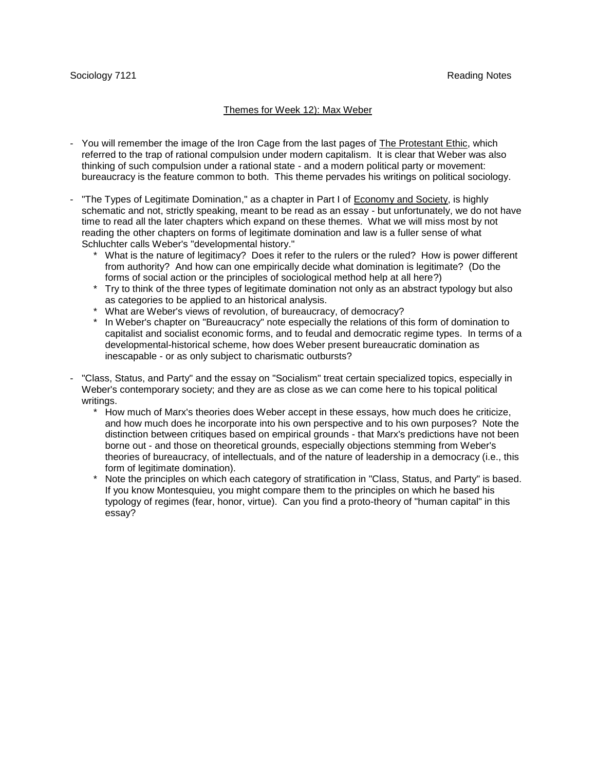# Themes for Week 12): Max Weber

- You will remember the image of the Iron Cage from the last pages of The Protestant Ethic, which referred to the trap of rational compulsion under modern capitalism. It is clear that Weber was also thinking of such compulsion under a rational state - and a modern political party or movement: bureaucracy is the feature common to both. This theme pervades his writings on political sociology.
- "The Types of Legitimate Domination," as a chapter in Part I of Economy and Society, is highly schematic and not, strictly speaking, meant to be read as an essay - but unfortunately, we do not have time to read all the later chapters which expand on these themes. What we will miss most by not reading the other chapters on forms of legitimate domination and law is a fuller sense of what Schluchter calls Weber's "developmental history."
	- \* What is the nature of legitimacy? Does it refer to the rulers or the ruled? How is power different from authority? And how can one empirically decide what domination is legitimate? (Do the forms of social action or the principles of sociological method help at all here?)
	- \* Try to think of the three types of legitimate domination not only as an abstract typology but also as categories to be applied to an historical analysis.
	- \* What are Weber's views of revolution, of bureaucracy, of democracy?
	- \* In Weber's chapter on "Bureaucracy" note especially the relations of this form of domination to capitalist and socialist economic forms, and to feudal and democratic regime types. In terms of a developmental-historical scheme, how does Weber present bureaucratic domination as inescapable - or as only subject to charismatic outbursts?
- "Class, Status, and Party" and the essay on "Socialism" treat certain specialized topics, especially in Weber's contemporary society; and they are as close as we can come here to his topical political writings.
	- How much of Marx's theories does Weber accept in these essays, how much does he criticize, and how much does he incorporate into his own perspective and to his own purposes? Note the distinction between critiques based on empirical grounds - that Marx's predictions have not been borne out - and those on theoretical grounds, especially objections stemming from Weber's theories of bureaucracy, of intellectuals, and of the nature of leadership in a democracy (i.e., this form of legitimate domination).
	- Note the principles on which each category of stratification in "Class, Status, and Party" is based. If you know Montesquieu, you might compare them to the principles on which he based his typology of regimes (fear, honor, virtue). Can you find a proto-theory of "human capital" in this essay?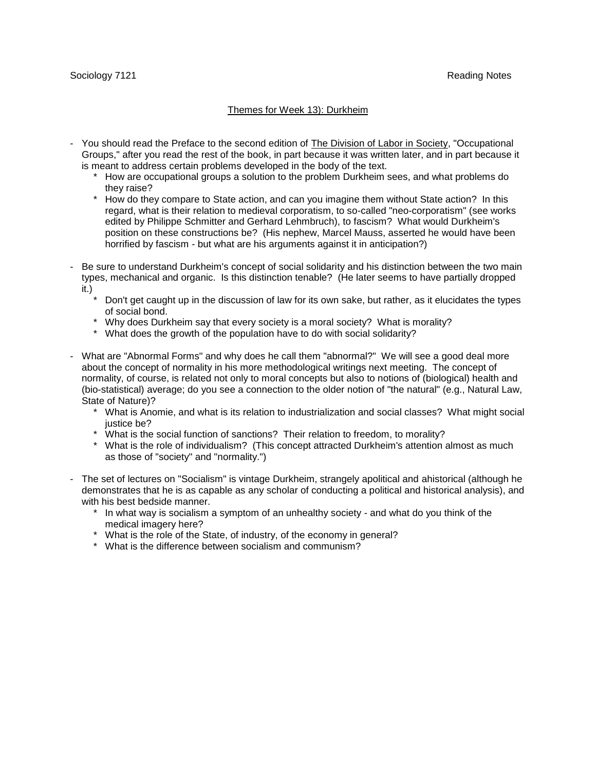# Themes for Week 13): Durkheim

- You should read the Preface to the second edition of The Division of Labor in Society, "Occupational Groups," after you read the rest of the book, in part because it was written later, and in part because it is meant to address certain problems developed in the body of the text.
	- \* How are occupational groups a solution to the problem Durkheim sees, and what problems do they raise?
	- \* How do they compare to State action, and can you imagine them without State action? In this regard, what is their relation to medieval corporatism, to so-called "neo-corporatism" (see works edited by Philippe Schmitter and Gerhard Lehmbruch), to fascism? What would Durkheim's position on these constructions be? (His nephew, Marcel Mauss, asserted he would have been horrified by fascism - but what are his arguments against it in anticipation?)
- Be sure to understand Durkheim's concept of social solidarity and his distinction between the two main types, mechanical and organic. Is this distinction tenable? (He later seems to have partially dropped it.)
	- Don't get caught up in the discussion of law for its own sake, but rather, as it elucidates the types of social bond.
	- \* Why does Durkheim say that every society is a moral society? What is morality?
	- \* What does the growth of the population have to do with social solidarity?
- What are "Abnormal Forms" and why does he call them "abnormal?" We will see a good deal more about the concept of normality in his more methodological writings next meeting. The concept of normality, of course, is related not only to moral concepts but also to notions of (biological) health and (bio-statistical) average; do you see a connection to the older notion of "the natural" (e.g., Natural Law, State of Nature)?
	- \* What is Anomie, and what is its relation to industrialization and social classes? What might social justice be?
	- \* What is the social function of sanctions? Their relation to freedom, to morality?
	- \* What is the role of individualism? (This concept attracted Durkheim's attention almost as much as those of "society" and "normality.")
- The set of lectures on "Socialism" is vintage Durkheim, strangely apolitical and ahistorical (although he demonstrates that he is as capable as any scholar of conducting a political and historical analysis), and with his best bedside manner.
	- \* In what way is socialism a symptom of an unhealthy society and what do you think of the medical imagery here?
	- \* What is the role of the State, of industry, of the economy in general?
	- \* What is the difference between socialism and communism?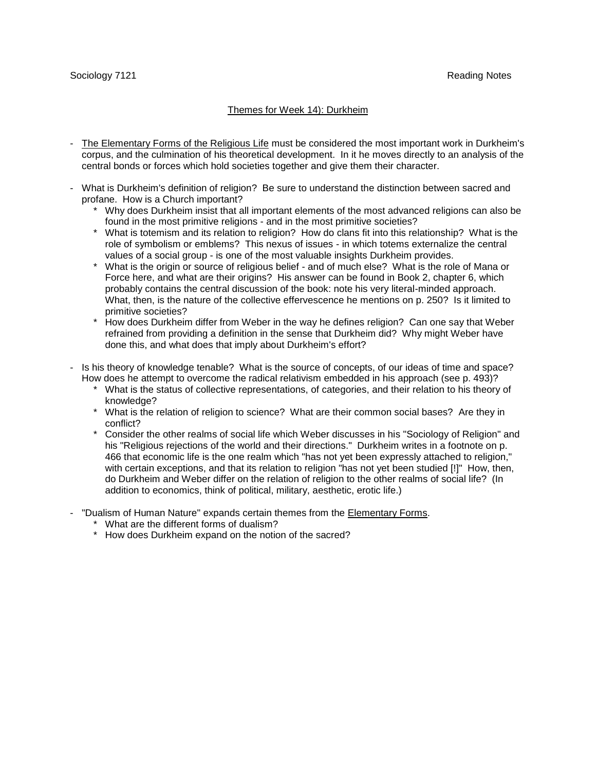# Themes for Week 14): Durkheim

- The Elementary Forms of the Religious Life must be considered the most important work in Durkheim's corpus, and the culmination of his theoretical development. In it he moves directly to an analysis of the central bonds or forces which hold societies together and give them their character.
- What is Durkheim's definition of religion? Be sure to understand the distinction between sacred and profane. How is a Church important?
	- \* Why does Durkheim insist that all important elements of the most advanced religions can also be found in the most primitive religions - and in the most primitive societies?
	- \* What is totemism and its relation to religion? How do clans fit into this relationship? What is the role of symbolism or emblems? This nexus of issues - in which totems externalize the central values of a social group - is one of the most valuable insights Durkheim provides.
	- \* What is the origin or source of religious belief and of much else? What is the role of Mana or Force here, and what are their origins? His answer can be found in Book 2, chapter 6, which probably contains the central discussion of the book: note his very literal-minded approach. What, then, is the nature of the collective effervescence he mentions on p. 250? Is it limited to primitive societies?
	- How does Durkheim differ from Weber in the way he defines religion? Can one say that Weber refrained from providing a definition in the sense that Durkheim did? Why might Weber have done this, and what does that imply about Durkheim's effort?
- Is his theory of knowledge tenable? What is the source of concepts, of our ideas of time and space? How does he attempt to overcome the radical relativism embedded in his approach (see p. 493)?
	- \* What is the status of collective representations, of categories, and their relation to his theory of knowledge?
	- \* What is the relation of religion to science? What are their common social bases? Are they in conflict?
	- \* Consider the other realms of social life which Weber discusses in his "Sociology of Religion" and his "Religious rejections of the world and their directions." Durkheim writes in a footnote on p. 466 that economic life is the one realm which "has not yet been expressly attached to religion," with certain exceptions, and that its relation to religion "has not yet been studied [!]" How, then, do Durkheim and Weber differ on the relation of religion to the other realms of social life? (In addition to economics, think of political, military, aesthetic, erotic life.)
- "Dualism of Human Nature" expands certain themes from the Elementary Forms.
	- \* What are the different forms of dualism?
	- \* How does Durkheim expand on the notion of the sacred?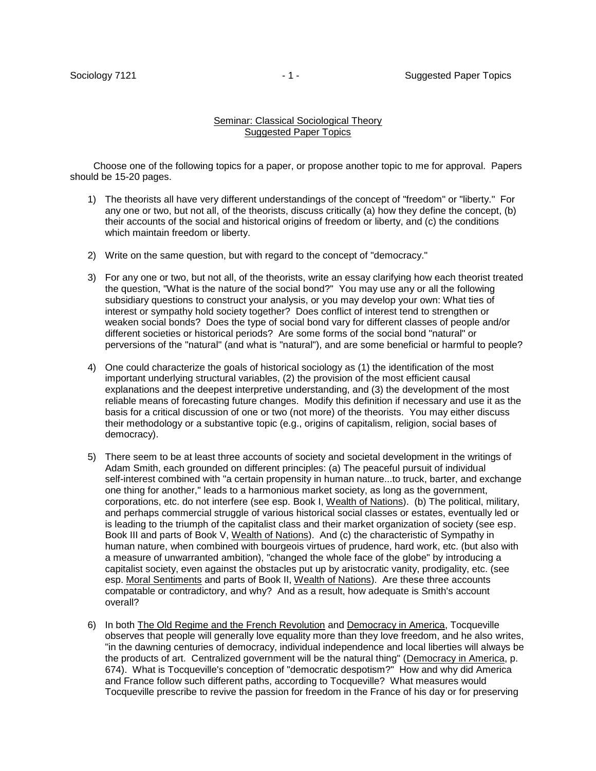## Seminar: Classical Sociological Theory Suggested Paper Topics

Choose one of the following topics for a paper, or propose another topic to me for approval. Papers should be 15-20 pages.

- 1) The theorists all have very different understandings of the concept of "freedom" or "liberty." For any one or two, but not all, of the theorists, discuss critically (a) how they define the concept, (b) their accounts of the social and historical origins of freedom or liberty, and (c) the conditions which maintain freedom or liberty.
- 2) Write on the same question, but with regard to the concept of "democracy."
- 3) For any one or two, but not all, of the theorists, write an essay clarifying how each theorist treated the question, "What is the nature of the social bond?" You may use any or all the following subsidiary questions to construct your analysis, or you may develop your own: What ties of interest or sympathy hold society together? Does conflict of interest tend to strengthen or weaken social bonds? Does the type of social bond vary for different classes of people and/or different societies or historical periods? Are some forms of the social bond "natural" or perversions of the "natural" (and what is "natural"), and are some beneficial or harmful to people?
- 4) One could characterize the goals of historical sociology as (1) the identification of the most important underlying structural variables, (2) the provision of the most efficient causal explanations and the deepest interpretive understanding, and (3) the development of the most reliable means of forecasting future changes. Modify this definition if necessary and use it as the basis for a critical discussion of one or two (not more) of the theorists. You may either discuss their methodology or a substantive topic (e.g., origins of capitalism, religion, social bases of democracy).
- 5) There seem to be at least three accounts of society and societal development in the writings of Adam Smith, each grounded on different principles: (a) The peaceful pursuit of individual self-interest combined with "a certain propensity in human nature...to truck, barter, and exchange one thing for another," leads to a harmonious market society, as long as the government, corporations, etc. do not interfere (see esp. Book I, Wealth of Nations). (b) The political, military, and perhaps commercial struggle of various historical social classes or estates, eventually led or is leading to the triumph of the capitalist class and their market organization of society (see esp. Book III and parts of Book V, Wealth of Nations). And (c) the characteristic of Sympathy in human nature, when combined with bourgeois virtues of prudence, hard work, etc. (but also with a measure of unwarranted ambition), "changed the whole face of the globe" by introducing a capitalist society, even against the obstacles put up by aristocratic vanity, prodigality, etc. (see esp. Moral Sentiments and parts of Book II, Wealth of Nations). Are these three accounts compatable or contradictory, and why? And as a result, how adequate is Smith's account overall?
- 6) In both The Old Regime and the French Revolution and Democracy in America, Tocqueville observes that people will generally love equality more than they love freedom, and he also writes, "in the dawning centuries of democracy, individual independence and local liberties will always be the products of art. Centralized government will be the natural thing" (Democracy in America, p. 674). What is Tocqueville's conception of "democratic despotism?" How and why did America and France follow such different paths, according to Tocqueville? What measures would Tocqueville prescribe to revive the passion for freedom in the France of his day or for preserving